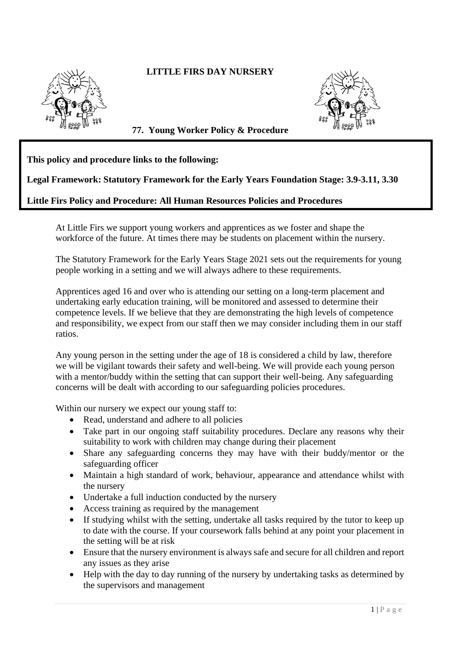## **LITTLE FIRS DAY NURSERY**





**77. Young Worker Policy & Procedure** 

## **This policy and procedure links to the following:**

## **Legal Framework: Statutory Framework for the Early Years Foundation Stage: 3.9-3.11, 3.30**

## **Little Firs Policy and Procedure: All Human Resources Policies and Procedures**

At Little Firs we support young workers and apprentices as we foster and shape the workforce of the future. At times there may be students on placement within the nursery.

The Statutory Framework for the Early Years Stage 2021 sets out the requirements for young people working in a setting and we will always adhere to these requirements.

Apprentices aged 16 and over who is attending our setting on a long-term placement and undertaking early education training, will be monitored and assessed to determine their competence levels. If we believe that they are demonstrating the high levels of competence and responsibility, we expect from our staff then we may consider including them in our staff ratios.

Any young person in the setting under the age of 18 is considered a child by law, therefore we will be vigilant towards their safety and well-being. We will provide each young person with a mentor/buddy within the setting that can support their well-being. Any safeguarding concerns will be dealt with according to our safeguarding policies procedures.

Within our nursery we expect our young staff to:

- Read, understand and adhere to all policies
- Take part in our ongoing staff suitability procedures. Declare any reasons why their suitability to work with children may change during their placement
- Share any safeguarding concerns they may have with their buddy/mentor or the safeguarding officer
- Maintain a high standard of work, behaviour, appearance and attendance whilst with the nursery
- Undertake a full induction conducted by the nursery
- Access training as required by the management
- If studying whilst with the setting, undertake all tasks required by the tutor to keep up to date with the course. If your coursework falls behind at any point your placement in the setting will be at risk
- Ensure that the nursery environment is always safe and secure for all children and report any issues as they arise
- Help with the day to day running of the nursery by undertaking tasks as determined by the supervisors and management